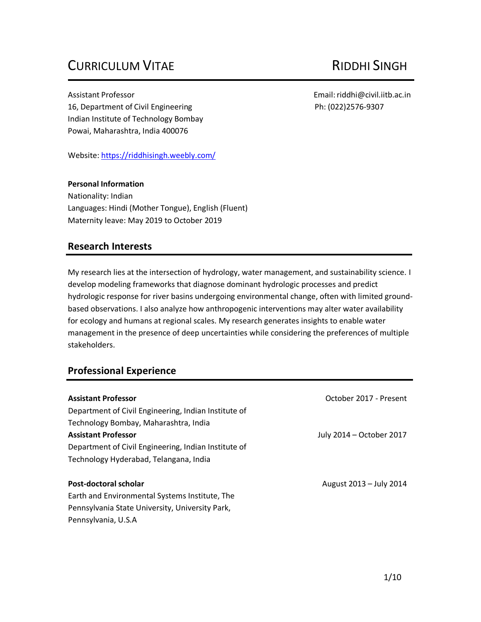# CURRICULUM VITAE RIDDHI SINGH

Assistant Professor Email[:riddhi@civil.iitb.ac.in](mailto:riddhi@civil.iitb.ac.in) 16, Department of Civil Engineering The Control of Civil Engineering Ph: (022)2576-9307 Indian Institute of Technology Bombay Powai, Maharashtra, India 400076

Website:<https://riddhisingh.weebly.com/>

#### **Personal Information**

Nationality: Indian Languages: Hindi (Mother Tongue), English (Fluent) Maternity leave: May 2019 to October 2019

### **Research Interests**

My research lies at the intersection of hydrology, water management, and sustainability science. I develop modeling frameworks that diagnose dominant hydrologic processes and predict hydrologic response for river basins undergoing environmental change, often with limited groundbased observations. I also analyze how anthropogenic interventions may alter water availability for ecology and humans at regional scales. My research generates insights to enable water management in the presence of deep uncertainties while considering the preferences of multiple stakeholders.

## **Professional Experience**

| <b>Assistant Professor</b>                           | October 2017 - Present   |
|------------------------------------------------------|--------------------------|
| Department of Civil Engineering, Indian Institute of |                          |
| Technology Bombay, Maharashtra, India                |                          |
| <b>Assistant Professor</b>                           | July 2014 - October 2017 |
| Department of Civil Engineering, Indian Institute of |                          |
| Technology Hyderabad, Telangana, India               |                          |
| Post-doctoral scholar                                | August 2013 - July 2014  |
| Earth and Environmental Systems Institute, The       |                          |
| Pennsylvania State University, University Park,      |                          |
| Pennsylvania, U.S.A                                  |                          |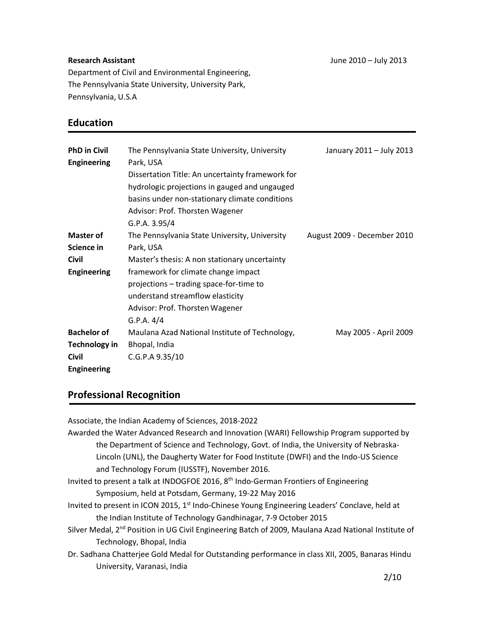#### **Research Assistant**

Department of Civil and Environmental Engineering, The Pennsylvania State University, University Park, Pennsylvania, U.S.A

### **Education**

| <b>PhD in Civil</b>  | The Pennsylvania State University, University    | January 2011 - July 2013    |
|----------------------|--------------------------------------------------|-----------------------------|
| <b>Engineering</b>   | Park, USA                                        |                             |
|                      | Dissertation Title: An uncertainty framework for |                             |
|                      | hydrologic projections in gauged and ungauged    |                             |
|                      | basins under non-stationary climate conditions   |                             |
|                      | Advisor: Prof. Thorsten Wagener                  |                             |
|                      | G.P.A. 3.95/4                                    |                             |
| <b>Master of</b>     | The Pennsylvania State University, University    | August 2009 - December 2010 |
| Science in           | Park, USA                                        |                             |
| <b>Civil</b>         | Master's thesis: A non stationary uncertainty    |                             |
| <b>Engineering</b>   | framework for climate change impact              |                             |
|                      | projections - trading space-for-time to          |                             |
|                      | understand streamflow elasticity                 |                             |
|                      | Advisor: Prof. Thorsten Wagener                  |                             |
|                      | G.P.A. 4/4                                       |                             |
| <b>Bachelor of</b>   | Maulana Azad National Institute of Technology,   | May 2005 - April 2009       |
| <b>Technology in</b> | Bhopal, India                                    |                             |
| <b>Civil</b>         | C.G.P.A 9.35/10                                  |                             |
| <b>Engineering</b>   |                                                  |                             |

## **Professional Recognition**

Associate, the Indian Academy of Sciences, 2018-2022 Awarded the Water Advanced Research and Innovation (WARI) Fellowship Program supported by the Department of Science and Technology, Govt. of India, the University of Nebraska-Lincoln (UNL), the Daugherty Water for Food Institute (DWFI) and the Indo-US Science and Technology Forum (IUSSTF), November 2016. Invited to present a talk at INDOGFOE 2016, 8th Indo-German Frontiers of Engineering Symposium, held at Potsdam, Germany, 19-22 May 2016 Invited to present in ICON 2015, 1<sup>st</sup> Indo-Chinese Young Engineering Leaders' Conclave, held at the Indian Institute of Technology Gandhinagar, 7-9 October 2015 Silver Medal, 2<sup>nd</sup> Position in UG Civil Engineering Batch of 2009, Maulana Azad National Institute of Technology, Bhopal, India Dr. Sadhana Chatterjee Gold Medal for Outstanding performance in class XII, 2005, Banaras Hindu University, Varanasi, India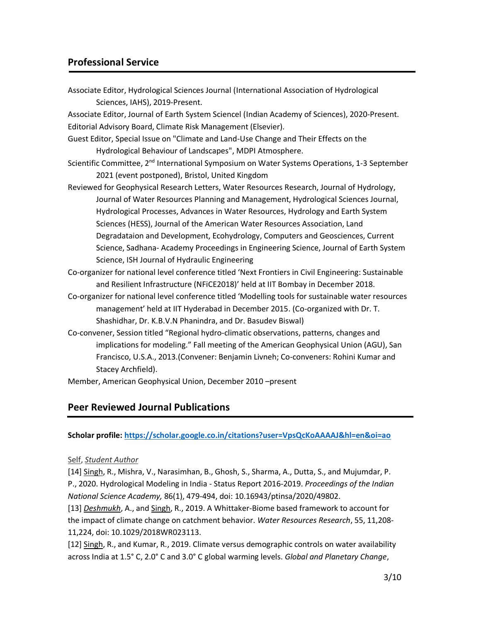### **Professional Service**

Associate Editor, Hydrological Sciences Journal (International Association of Hydrological Sciences, IAHS), 2019-Present.

Associate Editor, Journal of Earth System Sciencel (Indian Academy of Sciences), 2020-Present. Editorial Advisory Board, Climate Risk Management (Elsevier).

- Guest Editor, Special Issue on "Climate and Land-Use Change and Their Effects on the Hydrological Behaviour of Landscapes", MDPI Atmosphere.
- Scientific Committee, 2<sup>nd</sup> International Symposium on Water Systems Operations, 1-3 September 2021 (event postponed), Bristol, United Kingdom
- Reviewed for Geophysical Research Letters, Water Resources Research, Journal of Hydrology, Journal of Water Resources Planning and Management, Hydrological Sciences Journal, Hydrological Processes, Advances in Water Resources, Hydrology and Earth System Sciences (HESS), Journal of the American Water Resources Association, Land Degradataion and Development, Ecohydrology, Computers and Geosciences, Current Science, Sadhana- Academy Proceedings in Engineering Science, Journal of Earth System Science, ISH Journal of Hydraulic Engineering
- Co-organizer for national level conference titled 'Next Frontiers in Civil Engineering: Sustainable and Resilient Infrastructure (NFiCE2018)' held at IIT Bombay in December 2018.
- Co-organizer for national level conference titled 'Modelling tools for sustainable water resources management' held at IIT Hyderabad in December 2015. (Co-organized with Dr. T. Shashidhar, Dr. K.B.V.N Phanindra, and Dr. Basudev Biswal)
- Co-convener, Session titled "Regional hydro-climatic observations, patterns, changes and implications for modeling." Fall meeting of the American Geophysical Union (AGU), San Francisco, U.S.A., 2013.(Convener: Benjamin Livneh; Co-conveners: Rohini Kumar and Stacey Archfield).

Member, American Geophysical Union, December 2010 –present

### **Peer Reviewed Journal Publications**

**Scholar profile:<https://scholar.google.co.in/citations?user=VpsQcKoAAAAJ&hl=en&oi=ao>**

#### Self, *Student Author*

[14] Singh, R., Mishra, V., Narasimhan, B., Ghosh, S., Sharma, A., Dutta, S., and Mujumdar, P. P., 2020. Hydrological Modeling in India - Status Report 2016-2019. *Proceedings of the Indian National Science Academy,* 86(1), 479-494, doi: 10.16943/ptinsa/2020/49802.

[13] *Deshmukh*, A., and Singh, R., 2019. A Whittaker‐Biome based framework to account for the impact of climate change on catchment behavior. *Water Resources Research*, 55, 11,208- 11,224, doi: 10.1029/2018WR023113.

[12] Singh, R., and Kumar, R., 2019. Climate versus demographic controls on water availability across India at 1.5° C, 2.0° C and 3.0° C global warming levels. *Global and Planetary Change*,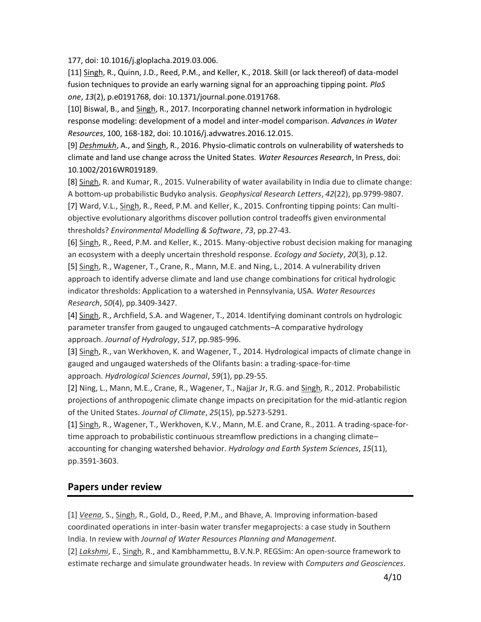177, doi: 10.1016/j.gloplacha.2019.03.006.

[11] Singh, R., Quinn, J.D., Reed, P.M., and Keller, K., 2018. Skill (or lack thereof) of data-model fusion techniques to provide an early warning signal for an approaching tipping point. *PloS one*, *13*(2), p.e0191768, doi: 10.1371/journal.pone.0191768.

[10] Biswal, B., and Singh, R., 2017. Incorporating channel network information in hydrologic response modeling: development of a model and inter-model comparison. *Advances in Water Resources*, 100, 168-182, doi: 10.1016/j.advwatres.2016.12.015.

[9] *Deshmukh*, A., and Singh, R., 2016. Physio-climatic controls on vulnerability of watersheds to climate and land use change across the United States. *Water Resources Research*, In Press, doi: 10.1002/2016WR019189.

[8] Singh, R. and Kumar, R., 2015. Vulnerability of water availability in India due to climate change: A bottom‐up probabilistic Budyko analysis. *Geophysical Research Letters*, *42*(22), pp.9799-9807. [7] Ward, V.L., Singh, R., Reed, P.M. and Keller, K., 2015. Confronting tipping points: Can multiobjective evolutionary algorithms discover pollution control tradeoffs given environmental thresholds? *Environmental Modelling & Software*, *73*, pp.27-43.

[6] Singh, R., Reed, P.M. and Keller, K., 2015. Many-objective robust decision making for managing an ecosystem with a deeply uncertain threshold response. *Ecology and Society*, *20*(3), p.12. [5] Singh, R., Wagener, T., Crane, R., Mann, M.E. and Ning, L., 2014. A vulnerability driven approach to identify adverse climate and land use change combinations for critical hydrologic indicator thresholds: Application to a watershed in Pennsylvania, USA. *Water Resources Research*, *50*(4), pp.3409-3427.

[4] Singh, R., Archfield, S.A. and Wagener, T., 2014. Identifying dominant controls on hydrologic parameter transfer from gauged to ungauged catchments–A comparative hydrology approach. *Journal of Hydrology*, *517*, pp.985-996.

[3] Singh, R., van Werkhoven, K. and Wagener, T., 2014. Hydrological impacts of climate change in gauged and ungauged watersheds of the Olifants basin: a trading-space-for-time approach. *Hydrological Sciences Journal*, *59*(1), pp.29-55.

[2] Ning, L., Mann, M.E., Crane, R., Wagener, T., Najjar Jr, R.G. and Singh, R., 2012. Probabilistic projections of anthropogenic climate change impacts on precipitation for the mid-atlantic region of the United States. *Journal of Climate*, *25*(15), pp.5273-5291.

[1] Singh, R., Wagener, T., Werkhoven, K.V., Mann, M.E. and Crane, R., 2011. A trading-space-fortime approach to probabilistic continuous streamflow predictions in a changing climate– accounting for changing watershed behavior. *Hydrology and Earth System Sciences*, *15*(11), pp.3591-3603.

### **Papers under review**

[1] *Veena*, S., Singh, R., Gold, D., Reed, P.M., and Bhave, A. Improving information-based coordinated operations in inter-basin water transfer megaprojects: a case study in Southern India. In review with *Journal of Water Resources Planning and Management*.

[2] *Lakshmi*, E., Singh, R., and Kambhammettu, B.V.N.P. REGSim: An open-source framework to estimate recharge and simulate groundwater heads. In review with *Computers and Geosciences*.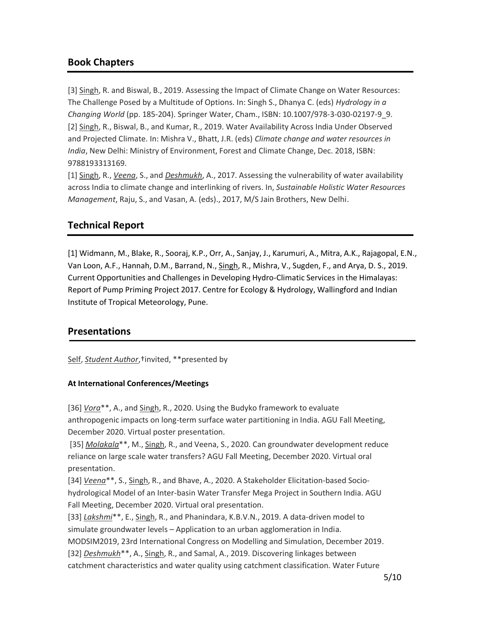## **Book Chapters**

[3] Singh, R. and Biswal, B., 2019. Assessing the Impact of Climate Change on Water Resources: The Challenge Posed by a Multitude of Options. In: Singh S., Dhanya C. (eds) *Hydrology in a Changing World* (pp. 185-204). Springer Water, Cham., ISBN: 10.1007/978-3-030-02197-9\_9. [2] Singh, R., Biswal, B., and Kumar, R., 2019. Water Availability Across India Under Observed and Projected Climate. In: Mishra V., Bhatt, J.R. (eds) *Climate change and water resources in India*, New Delhi: Ministry of Environment, Forest and Climate Change, Dec. 2018, ISBN: 9788193313169.

[1] Singh, R., *Veena*, S., and *Deshmukh*, A., 2017. Assessing the vulnerability of water availability across India to climate change and interlinking of rivers. In, *Sustainable Holistic Water Resources Management*, Raju, S., and Vasan, A. (eds)., 2017, M/S Jain Brothers, New Delhi.

# **Technical Report**

[1] Widmann, M., Blake, R., Sooraj, K.P., Orr, A., Sanjay, J., Karumuri, A., Mitra, A.K., Rajagopal, E.N., Van Loon, A.F., Hannah, D.M., Barrand, N., Singh, R., Mishra, V., Sugden, F., and Arya, D. S., 2019. Current Opportunities and Challenges in Developing Hydro-Climatic Services in the Himalayas: Report of Pump Priming Project 2017. Centre for Ecology & Hydrology, Wallingford and Indian Institute of Tropical Meteorology, Pune.

## **Presentations**

Self, *Student Author*,†invited, \*\*presented by

#### **At International Conferences/Meetings**

[36] *Vora*\*\*, A., and Singh, R., 2020. Using the Budyko framework to evaluate anthropogenic impacts on long-term surface water partitioning in India. AGU Fall Meeting, December 2020. Virtual poster presentation.

[35] *Molakala*\*\*, M., Singh, R., and Veena, S., 2020. Can groundwater development reduce reliance on large scale water transfers? AGU Fall Meeting, December 2020. Virtual oral presentation.

[34] *Veena*\*\*, S., Singh, R., and Bhave, A., 2020. A Stakeholder Elicitation-based Sociohydrological Model of an Inter-basin Water Transfer Mega Project in Southern India. AGU Fall Meeting, December 2020. Virtual oral presentation.

[33] *Lakshmi*\*\*, E., Singh, R., and Phanindara, K.B.V.N., 2019. A data-driven model to simulate groundwater levels – Application to an urban agglomeration in India. MODSIM2019, 23rd International Congress on Modelling and Simulation, December 2019. [32] *Deshmukh*\*\*, A., Singh, R., and Samal, A., 2019. Discovering linkages between

catchment characteristics and water quality using catchment classification. Water Future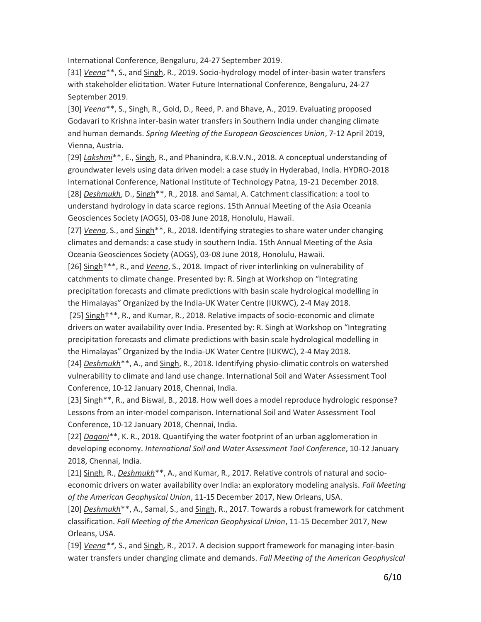International Conference, Bengaluru, 24-27 September 2019.

[31] *Veena*\*\*, S., and Singh, R., 2019. Socio-hydrology model of inter-basin water transfers with stakeholder elicitation. Water Future International Conference, Bengaluru, 24-27 September 2019.

[30] *Veena*\*\*, S., Singh, R., Gold, D., Reed, P. and Bhave, A., 2019. Evaluating proposed Godavari to Krishna inter-basin water transfers in Southern India under changing climate and human demands. *Spring Meeting of the European Geosciences Union*, 7-12 April 2019, Vienna, Austria.

[29] *Lakshmi*\*\*, E., Singh, R., and Phanindra, K.B.V.N., 2018. A conceptual understanding of groundwater levels using data driven model: a case study in Hyderabad, India. HYDRO-2018 International Conference, National Institute of Technology Patna, 19-21 December 2018. [28] *Deshmukh*, D., Singh\*\*, R., 2018. and Samal, A. Catchment classification: a tool to understand hydrology in data scarce regions. 15th Annual Meeting of the Asia Oceania Geosciences Society (AOGS), 03-08 June 2018, Honolulu, Hawaii.

[27] *Veena*, S., and Singh\*\*, R., 2018. Identifying strategies to share water under changing climates and demands: a case study in southern India. 15th Annual Meeting of the Asia Oceania Geosciences Society (AOGS), 03-08 June 2018, Honolulu, Hawaii.

[26] Singh†\*\*, R., and *Veena*, S., 2018. Impact of river interlinking on vulnerability of catchments to climate change. Presented by: R. Singh at Workshop on "Integrating precipitation forecasts and climate predictions with basin scale hydrological modelling in the Himalayas" Organized by the India-UK Water Centre (IUKWC), 2-4 May 2018.

[25] Singh†\*\*, R., and Kumar, R., 2018. Relative impacts of socio-economic and climate drivers on water availability over India. Presented by: R. Singh at Workshop on "Integrating precipitation forecasts and climate predictions with basin scale hydrological modelling in the Himalayas" Organized by the India-UK Water Centre (IUKWC), 2-4 May 2018.

[24] *Deshmukh*\*\*, A., and Singh, R., 2018. Identifying physio-climatic controls on watershed vulnerability to climate and land use change. International Soil and Water Assessment Tool Conference, 10-12 January 2018, Chennai, India.

[23] Singh\*\*, R., and Biswal, B., 2018. How well does a model reproduce hydrologic response? Lessons from an inter-model comparison. International Soil and Water Assessment Tool Conference, 10-12 January 2018, Chennai, India.

[22] *Dagani*\*\*, K. R., 2018. Quantifying the water footprint of an urban agglomeration in developing economy. *International Soil and Water Assessment Tool Conference*, 10-12 January 2018, Chennai, India.

[21] Singh, R., *Deshmukh*\*\*, A., and Kumar, R., 2017. Relative controls of natural and socioeconomic drivers on water availability over India: an exploratory modeling analysis. *Fall Meeting of the American Geophysical Union*, 11-15 December 2017, New Orleans, USA.

[20] *Deshmukh*\*\*, A., Samal, S., and Singh, R., 2017. Towards a robust framework for catchment classification. *Fall Meeting of the American Geophysical Union*, 11-15 December 2017, New Orleans, USA.

[19] *Veena\*\*,* S., and Singh, R., 2017. A decision support framework for managing inter-basin water transfers under changing climate and demands. *Fall Meeting of the American Geophysical*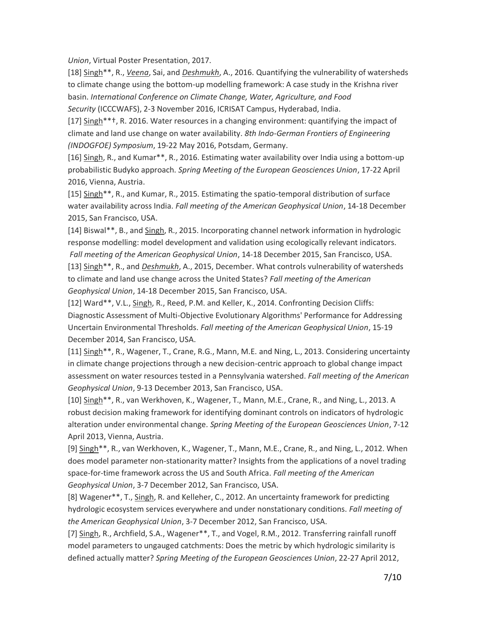*Union*, Virtual Poster Presentation, 2017.

[18] Singh\*\*, R., *Veena*, Sai, and *Deshmukh*, A., 2016. Quantifying the vulnerability of watersheds to climate change using the bottom-up modelling framework: A case study in the Krishna river basin. *International Conference on Climate Change, Water, Agriculture, and Food Security* (ICCCWAFS), 2-3 November 2016, ICRISAT Campus, Hyderabad, India.

[17] Singh\*\*†, R. 2016. Water resources in a changing environment: quantifying the impact of climate and land use change on water availability. *8th Indo-German Frontiers of Engineering (INDOGFOE) Symposium*, 19-22 May 2016, Potsdam, Germany.

[16] Singh, R., and Kumar\*\*, R., 2016. Estimating water availability over India using a bottom-up probabilistic Budyko approach. *Spring Meeting of the European Geosciences Union*, 17-22 April 2016, Vienna, Austria.

[15] Singh\*\*, R., and Kumar, R., 2015. Estimating the spatio-temporal distribution of surface water availability across India. *Fall meeting of the American Geophysical Union*, 14-18 December 2015, San Francisco, USA.

[14] Biswal\*\*, B., and Singh, R., 2015. Incorporating channel network information in hydrologic response modelling: model development and validation using ecologically relevant indicators. *Fall meeting of the American Geophysical Union*, 14-18 December 2015, San Francisco, USA. [13] Singh\*\*, R., and *Deshmukh*, A., 2015, December. What controls vulnerability of watersheds to climate and land use change across the United States? *Fall meeting of the American Geophysical Union*, 14-18 December 2015, San Francisco, USA.

[12] Ward\*\*, V.L., Singh, R., Reed, P.M. and Keller, K., 2014. Confronting Decision Cliffs: Diagnostic Assessment of Multi-Objective Evolutionary Algorithms' Performance for Addressing Uncertain Environmental Thresholds. *Fall meeting of the American Geophysical Union*, 15-19 December 2014, San Francisco, USA.

[11] Singh\*\*, R., Wagener, T., Crane, R.G., Mann, M.E. and Ning, L., 2013. Considering uncertainty in climate change projections through a new decision-centric approach to global change impact assessment on water resources tested in a Pennsylvania watershed. *Fall meeting of the American Geophysical Union*, 9-13 December 2013, San Francisco, USA.

[10] Singh\*\*, R., van Werkhoven, K., Wagener, T., Mann, M.E., Crane, R., and Ning, L., 2013. A robust decision making framework for identifying dominant controls on indicators of hydrologic alteration under environmental change. *Spring Meeting of the European Geosciences Union*, 7-12 April 2013, Vienna, Austria.

[9] Singh\*\*, R., van Werkhoven, K., Wagener, T., Mann, M.E., Crane, R., and Ning, L., 2012. When does model parameter non-stationarity matter? Insights from the applications of a novel trading space-for-time framework across the US and South Africa. *Fall meeting of the American Geophysical Union*, 3-7 December 2012, San Francisco, USA.

[8] Wagener\*\*, T., Singh, R. and Kelleher, C., 2012. An uncertainty framework for predicting hydrologic ecosystem services everywhere and under nonstationary conditions. *Fall meeting of the American Geophysical Union*, 3-7 December 2012, San Francisco, USA.

[7] Singh, R., Archfield, S.A., Wagener\*\*, T., and Vogel, R.M., 2012. Transferring rainfall runoff model parameters to ungauged catchments: Does the metric by which hydrologic similarity is defined actually matter? *Spring Meeting of the European Geosciences Union*, 22-27 April 2012,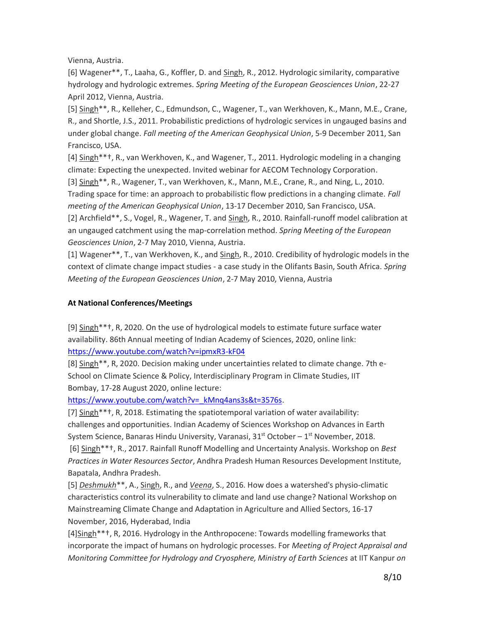Vienna, Austria.

[6] Wagener\*\*, T., Laaha, G., Koffler, D. and Singh, R., 2012. Hydrologic similarity, comparative hydrology and hydrologic extremes. *Spring Meeting of the European Geosciences Union*, 22-27 April 2012, Vienna, Austria.

[5] Singh\*\*, R., Kelleher, C., Edmundson, C., Wagener, T., van Werkhoven, K., Mann, M.E., Crane, R., and Shortle, J.S., 2011. Probabilistic predictions of hydrologic services in ungauged basins and under global change. *Fall meeting of the American Geophysical Union*, 5-9 December 2011, San Francisco, USA.

[4] Singh\*\*†, R., van Werkhoven, K., and Wagener, T., 2011. Hydrologic modeling in a changing climate: Expecting the unexpected. Invited webinar for AECOM Technology Corporation.

[3] Singh\*\*, R., Wagener, T., van Werkhoven, K., Mann, M.E., Crane, R., and Ning, L., 2010. Trading space for time: an approach to probabilistic flow predictions in a changing climate. *Fall meeting of the American Geophysical Union*, 13-17 December 2010, San Francisco, USA.

[2] Archfield\*\*, S., Vogel, R., Wagener, T. and Singh, R., 2010. Rainfall-runoff model calibration at an ungauged catchment using the map-correlation method. *Spring Meeting of the European Geosciences Union*, 2-7 May 2010, Vienna, Austria.

[1] Wagener\*\*, T., van Werkhoven, K., and Singh, R., 2010. Credibility of hydrologic models in the context of climate change impact studies - a case study in the Olifants Basin, South Africa. *Spring Meeting of the European Geosciences Union*, 2-7 May 2010, Vienna, Austria

#### **At National Conferences/Meetings**

[9] Singh\*\*†, R, 2020. On the use of hydrological models to estimate future surface water availability. 86th Annual meeting of Indian Academy of Sciences, 2020, online link: <https://www.youtube.com/watch?v=ipmxR3-kF04>

[8] Singh\*\*, R, 2020. Decision making under uncertainties related to climate change. 7th e-School on Climate Science & Policy, Interdisciplinary Program in Climate Studies, IIT Bombay, 17-28 August 2020, online lecture:

[https://www.youtube.com/watch?v=\\_kMnq4ans3s&t=3576s.](https://www.youtube.com/watch?v=_kMnq4ans3s&t=3576s)

[7] Singh\*\*†, R, 2018. Estimating the spatiotemporal variation of water availability: challenges and opportunities. Indian Academy of Sciences Workshop on Advances in Earth System Science, Banaras Hindu University, Varanasi, 31<sup>st</sup> October – 1<sup>st</sup> November, 2018.

[6] Singh\*\*†, R., 2017. Rainfall Runoff Modelling and Uncertainty Analysis. Workshop on *Best Practices in Water Resources Sector*, Andhra Pradesh Human Resources Development Institute, Bapatala, Andhra Pradesh.

[5] *Deshmukh*\*\*, A., Singh, R., and *Veena*, S., 2016. How does a watershed's physio-climatic characteristics control its vulnerability to climate and land use change? National Workshop on Mainstreaming Climate Change and Adaptation in Agriculture and Allied Sectors, 16-17 November, 2016, Hyderabad, India

[4]Singh\*\*+, R, 2016. Hydrology in the Anthropocene: Towards modelling frameworks that incorporate the impact of humans on hydrologic processes. For *Meeting of Project Appraisal and Monitoring Committee for Hydrology and Cryosphere, Ministry of Earth Sciences* at IIT Kanpur *on*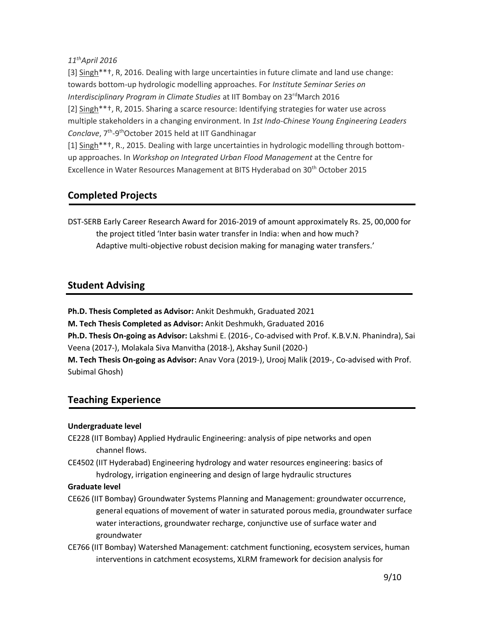#### *11thApril 2016*

[3] Singh\*\*†, R, 2016. Dealing with large uncertainties in future climate and land use change: towards bottom-up hydrologic modelling approaches. For *Institute Seminar Series on Interdisciplinary Program in Climate Studies* at IIT Bombay on 23<sup>rd</sup>March 2016 [2] Singh\*\*†, R, 2015. Sharing a scarce resource: Identifying strategies for water use across multiple stakeholders in a changing environment. In *1st Indo-Chinese Young Engineering Leaders*  Conclave, 7<sup>th</sup>-9<sup>th</sup>October 2015 held at IIT Gandhinagar

[1] Singh\*\*+, R., 2015. Dealing with large uncertainties in hydrologic modelling through bottomup approaches. In *Workshop on Integrated Urban Flood Management* at the Centre for Excellence in Water Resources Management at BITS Hyderabad on 30<sup>th</sup> October 2015

# **Completed Projects**

DST-SERB Early Career Research Award for 2016-2019 of amount approximately Rs. 25, 00,000 for the project titled 'Inter basin water transfer in India: when and how much? Adaptive multi-objective robust decision making for managing water transfers.'

# **Student Advising**

**Ph.D. Thesis Completed as Advisor:** Ankit Deshmukh, Graduated 2021

**M. Tech Thesis Completed as Advisor:** Ankit Deshmukh, Graduated 2016

**Ph.D. Thesis On-going as Advisor:** Lakshmi E. (2016-, Co-advised with Prof. K.B.V.N. Phanindra), Sai Veena (2017-), Molakala Siva Manvitha (2018-), Akshay Sunil (2020-)

**M. Tech Thesis On-going as Advisor:** Anav Vora (2019-), Urooj Malik (2019-, Co-advised with Prof. Subimal Ghosh)

# **Teaching Experience**

### **Undergraduate level**

- CE228 (IIT Bombay) Applied Hydraulic Engineering: analysis of pipe networks and open channel flows.
- CE4502 (IIT Hyderabad) Engineering hydrology and water resources engineering: basics of hydrology, irrigation engineering and design of large hydraulic structures

#### **Graduate level**

- CE626 (IIT Bombay) Groundwater Systems Planning and Management: groundwater occurrence, general equations of movement of water in saturated porous media, groundwater surface water interactions, groundwater recharge, conjunctive use of surface water and groundwater
- CE766 (IIT Bombay) Watershed Management: catchment functioning, ecosystem services, human interventions in catchment ecosystems, XLRM framework for decision analysis for